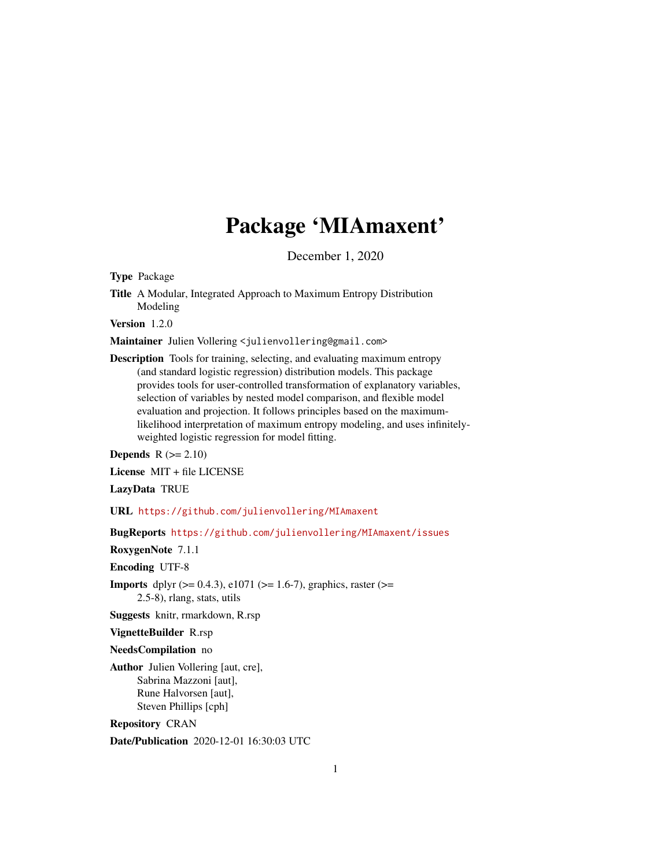## Package 'MIAmaxent'

December 1, 2020

Type Package

Title A Modular, Integrated Approach to Maximum Entropy Distribution Modeling

Version 1.2.0

Maintainer Julien Vollering <julienvollering@gmail.com>

Description Tools for training, selecting, and evaluating maximum entropy (and standard logistic regression) distribution models. This package provides tools for user-controlled transformation of explanatory variables, selection of variables by nested model comparison, and flexible model evaluation and projection. It follows principles based on the maximumlikelihood interpretation of maximum entropy modeling, and uses infinitelyweighted logistic regression for model fitting.

Depends  $R (= 2.10)$ 

License MIT + file LICENSE

LazyData TRUE

URL <https://github.com/julienvollering/MIAmaxent>

BugReports <https://github.com/julienvollering/MIAmaxent/issues>

RoxygenNote 7.1.1

Encoding UTF-8

**Imports** dplyr ( $> = 0.4.3$ ), e1071 ( $> = 1.6-7$ ), graphics, raster ( $> =$ 2.5-8), rlang, stats, utils

Suggests knitr, rmarkdown, R.rsp

VignetteBuilder R.rsp

NeedsCompilation no

Author Julien Vollering [aut, cre], Sabrina Mazzoni [aut], Rune Halvorsen [aut], Steven Phillips [cph]

Repository CRAN

Date/Publication 2020-12-01 16:30:03 UTC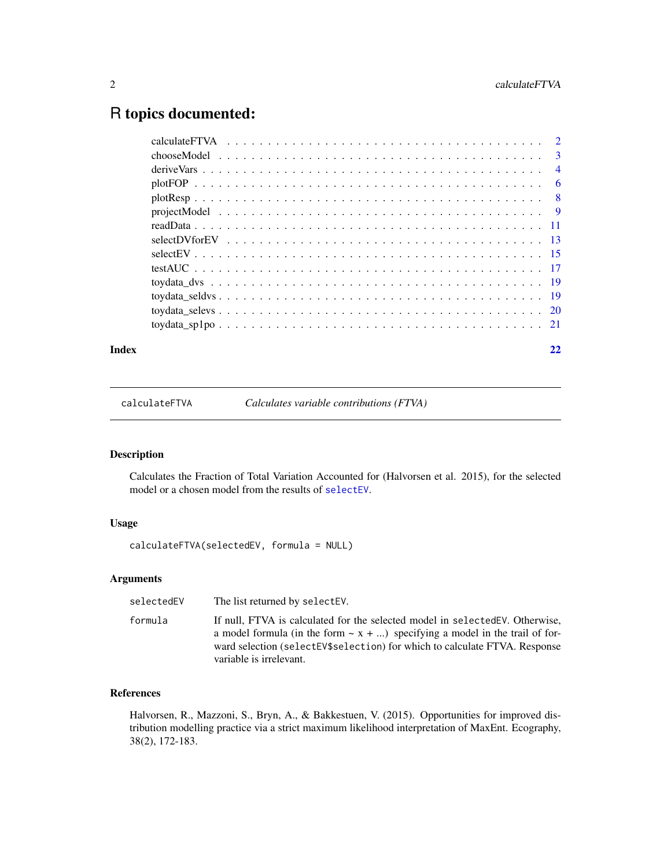### <span id="page-1-0"></span>R topics documented:

| Index | 22 |
|-------|----|
|       |    |
|       |    |
|       |    |
|       |    |
|       |    |
|       |    |
|       |    |
|       |    |
|       |    |
|       |    |
|       |    |
|       |    |
|       |    |
|       |    |

calculateFTVA *Calculates variable contributions (FTVA)*

#### Description

Calculates the Fraction of Total Variation Accounted for (Halvorsen et al. 2015), for the selected model or a chosen model from the results of [selectEV](#page-14-1).

#### Usage

calculateFTVA(selectedEV, formula = NULL)

#### Arguments

selectedEV The list returned by selectEV.

formula If null, FTVA is calculated for the selected model in selectedEV. Otherwise, a model formula (in the form  $\sim x + ...$ ) specifying a model in the trail of forward selection (selectEV\$selection) for which to calculate FTVA. Response variable is irrelevant.

#### References

Halvorsen, R., Mazzoni, S., Bryn, A., & Bakkestuen, V. (2015). Opportunities for improved distribution modelling practice via a strict maximum likelihood interpretation of MaxEnt. Ecography, 38(2), 172-183.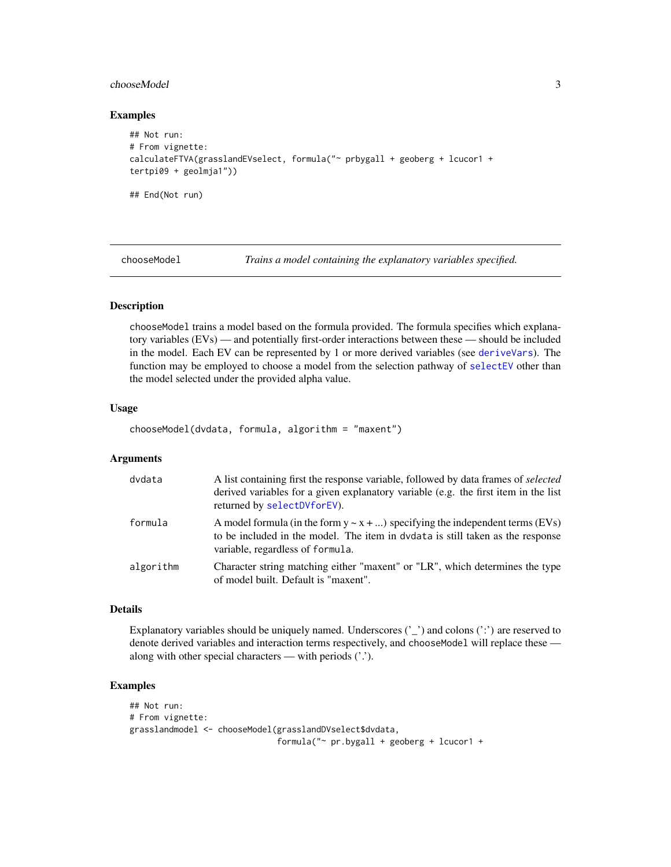#### <span id="page-2-0"></span>chooseModel 3

#### Examples

```
## Not run:
# From vignette:
calculateFTVA(grasslandEVselect, formula("~ prbygall + geoberg + lcucor1 +
tertpi09 + geolmja1"))
## End(Not run)
```
<span id="page-2-1"></span>

chooseModel *Trains a model containing the explanatory variables specified.*

#### Description

chooseModel trains a model based on the formula provided. The formula specifies which explanatory variables (EVs) — and potentially first-order interactions between these — should be included in the model. Each EV can be represented by 1 or more derived variables (see [deriveVars](#page-3-1)). The function may be employed to choose a model from the selection pathway of [selectEV](#page-14-1) other than the model selected under the provided alpha value.

#### Usage

chooseModel(dvdata, formula, algorithm = "maxent")

#### Arguments

| dvdata    | A list containing first the response variable, followed by data frames of <i>selected</i><br>derived variables for a given explanatory variable (e.g. the first item in the list<br>returned by selectDVforEV). |
|-----------|-----------------------------------------------------------------------------------------------------------------------------------------------------------------------------------------------------------------|
| formula   | A model formula (in the form $y \sim x + $ ) specifying the independent terms (EVs)<br>to be included in the model. The item in dvdata is still taken as the response<br>variable, regardless of formula.       |
| algorithm | Character string matching either "maxent" or "LR", which determines the type<br>of model built. Default is "maxent".                                                                                            |

#### Details

Explanatory variables should be uniquely named. Underscores  $('_')$  and colons  $(':)$  are reserved to denote derived variables and interaction terms respectively, and chooseModel will replace these along with other special characters — with periods ('.').

#### Examples

```
## Not run:
# From vignette:
grasslandmodel <- chooseModel(grasslandDVselect$dvdata,
                              formula("~ pr.bygall + geoberg + lcucor1 +
```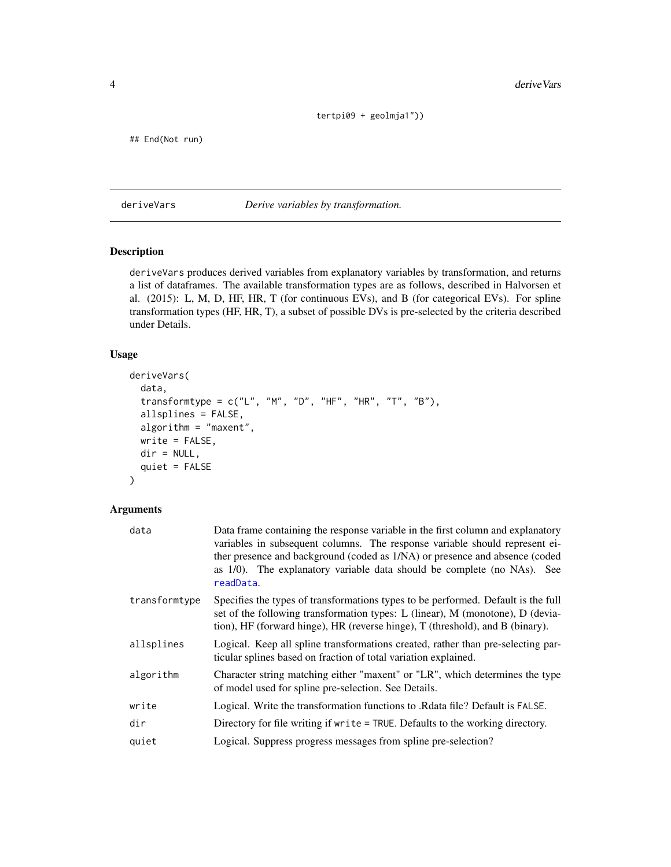tertpi09 + geolmja1"))

<span id="page-3-0"></span>## End(Not run)

<span id="page-3-1"></span>deriveVars *Derive variables by transformation.*

#### Description

deriveVars produces derived variables from explanatory variables by transformation, and returns a list of dataframes. The available transformation types are as follows, described in Halvorsen et al. (2015): L, M, D, HF, HR, T (for continuous EVs), and B (for categorical EVs). For spline transformation types (HF, HR, T), a subset of possible DVs is pre-selected by the criteria described under Details.

#### Usage

```
deriveVars(
 data,
  transformtype = c("L", "M", "D", "HF", "HR", "T", "B"),
 allsplines = FALSE,
 algorithm = "maxent",
 write = FALSE,
 dir = NULL,quiet = FALSE)
```
#### Arguments

| data          | Data frame containing the response variable in the first column and explanatory<br>variables in subsequent columns. The response variable should represent ei-<br>ther presence and background (coded as 1/NA) or presence and absence (coded<br>as 1/0). The explanatory variable data should be complete (no NAs). See<br>readData. |
|---------------|---------------------------------------------------------------------------------------------------------------------------------------------------------------------------------------------------------------------------------------------------------------------------------------------------------------------------------------|
| transformtype | Specifies the types of transformations types to be performed. Default is the full<br>set of the following transformation types: L (linear), M (monotone), D (devia-<br>tion), HF (forward hinge), HR (reverse hinge), T (threshold), and B (binary).                                                                                  |
| allsplines    | Logical. Keep all spline transformations created, rather than pre-selecting par-<br>ticular splines based on fraction of total variation explained.                                                                                                                                                                                   |
| algorithm     | Character string matching either "maxent" or "LR", which determines the type<br>of model used for spline pre-selection. See Details.                                                                                                                                                                                                  |
| write         | Logical. Write the transformation functions to .Rdata file? Default is FALSE.                                                                                                                                                                                                                                                         |
| dir           | Directory for file writing if write = TRUE. Defaults to the working directory.                                                                                                                                                                                                                                                        |
| quiet         | Logical. Suppress progress messages from spline pre-selection?                                                                                                                                                                                                                                                                        |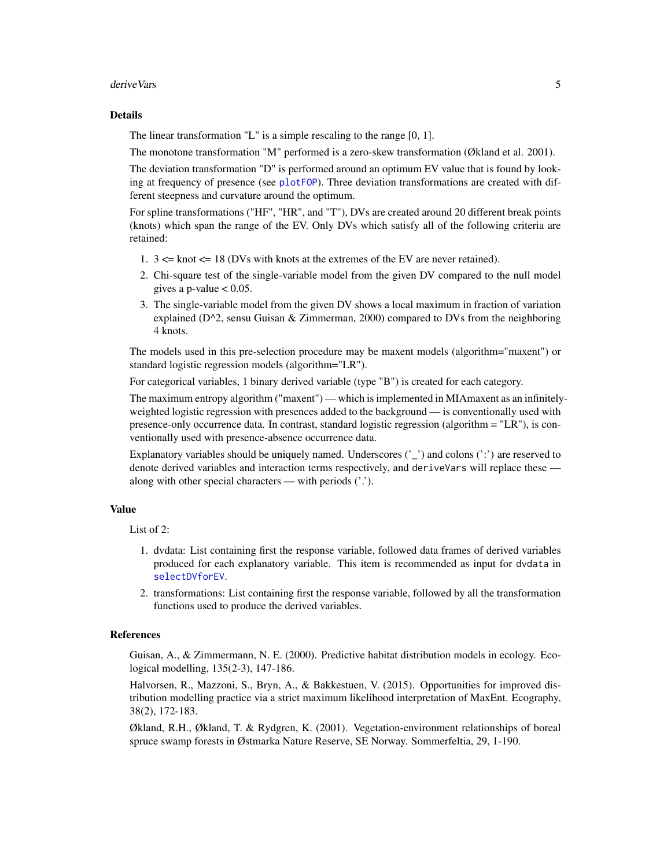#### <span id="page-4-0"></span>deriveVars 5

#### Details

The linear transformation "L" is a simple rescaling to the range [0, 1].

The monotone transformation "M" performed is a zero-skew transformation (Økland et al. 2001).

The deviation transformation "D" is performed around an optimum EV value that is found by looking at frequency of presence (see [plotFOP](#page-5-1)). Three deviation transformations are created with different steepness and curvature around the optimum.

For spline transformations ("HF", "HR", and "T"), DVs are created around 20 different break points (knots) which span the range of the EV. Only DVs which satisfy all of the following criteria are retained:

- 1.  $3 \leq$  knot  $\leq$  18 (DVs with knots at the extremes of the EV are never retained).
- 2. Chi-square test of the single-variable model from the given DV compared to the null model gives a p-value  $< 0.05$ .
- 3. The single-variable model from the given DV shows a local maximum in fraction of variation explained (D^2, sensu Guisan & Zimmerman, 2000) compared to DVs from the neighboring 4 knots.

The models used in this pre-selection procedure may be maxent models (algorithm="maxent") or standard logistic regression models (algorithm="LR").

For categorical variables, 1 binary derived variable (type "B") is created for each category.

The maximum entropy algorithm ("maxent") — which is implemented in MIAmaxent as an infinitelyweighted logistic regression with presences added to the background — is conventionally used with presence-only occurrence data. In contrast, standard logistic regression (algorithm = "LR"), is conventionally used with presence-absence occurrence data.

Explanatory variables should be uniquely named. Underscores  $\binom{r}{r}$  and colons  $\binom{r}{r}$  are reserved to denote derived variables and interaction terms respectively, and deriveVars will replace these along with other special characters — with periods ('.').

#### Value

List of 2:

- 1. dvdata: List containing first the response variable, followed data frames of derived variables produced for each explanatory variable. This item is recommended as input for dvdata in [selectDVforEV](#page-12-1).
- 2. transformations: List containing first the response variable, followed by all the transformation functions used to produce the derived variables.

#### References

Guisan, A., & Zimmermann, N. E. (2000). Predictive habitat distribution models in ecology. Ecological modelling, 135(2-3), 147-186.

Halvorsen, R., Mazzoni, S., Bryn, A., & Bakkestuen, V. (2015). Opportunities for improved distribution modelling practice via a strict maximum likelihood interpretation of MaxEnt. Ecography, 38(2), 172-183.

Økland, R.H., Økland, T. & Rydgren, K. (2001). Vegetation-environment relationships of boreal spruce swamp forests in Østmarka Nature Reserve, SE Norway. Sommerfeltia, 29, 1-190.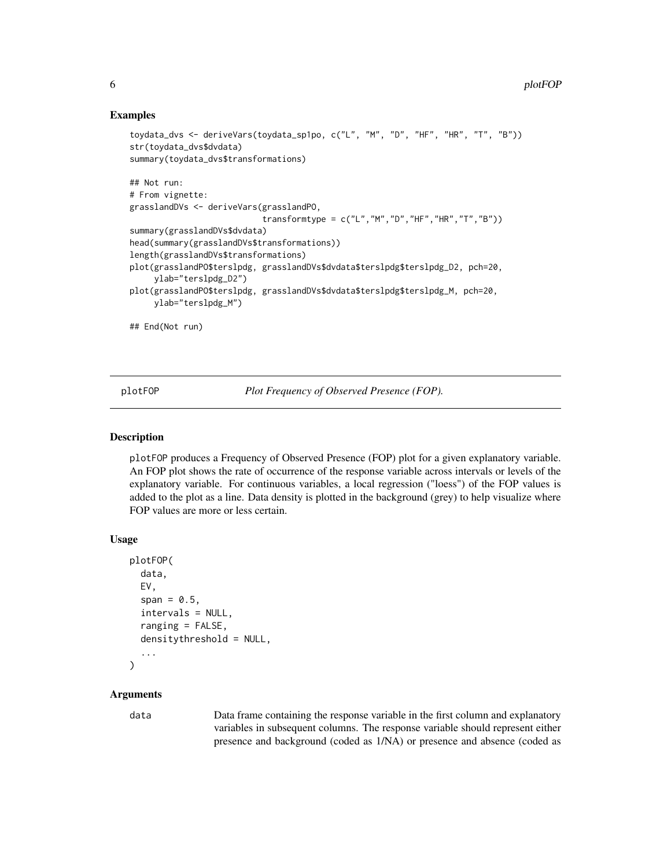#### Examples

```
toydata_dvs <- deriveVars(toydata_sp1po, c("L", "M", "D", "HF", "HR", "T", "B"))
str(toydata_dvs$dvdata)
summary(toydata_dvs$transformations)
## Not run:
# From vignette:
grasslandDVs <- deriveVars(grasslandPO,
                           transformtype = c("L", "M", "D", "HF", "HR", "T", "B"))summary(grasslandDVs$dvdata)
head(summary(grasslandDVs$transformations))
length(grasslandDVs$transformations)
plot(grasslandPO$terslpdg, grasslandDVs$dvdata$terslpdg$terslpdg_D2, pch=20,
     ylab="terslpdg_D2")
plot(grasslandPO$terslpdg, grasslandDVs$dvdata$terslpdg$terslpdg_M, pch=20,
    ylab="terslpdg_M")
## End(Not run)
```
<span id="page-5-1"></span>plotFOP *Plot Frequency of Observed Presence (FOP).*

#### Description

plotFOP produces a Frequency of Observed Presence (FOP) plot for a given explanatory variable. An FOP plot shows the rate of occurrence of the response variable across intervals or levels of the explanatory variable. For continuous variables, a local regression ("loess") of the FOP values is added to the plot as a line. Data density is plotted in the background (grey) to help visualize where FOP values are more or less certain.

#### Usage

```
plotFOP(
  data,
  EV,
  span = 0.5,
  intervals = NULL,
  ranging = FALSE,
  densitythreshold = NULL,
  ...
\lambda
```
#### Arguments

data Data frame containing the response variable in the first column and explanatory variables in subsequent columns. The response variable should represent either presence and background (coded as 1/NA) or presence and absence (coded as

<span id="page-5-0"></span>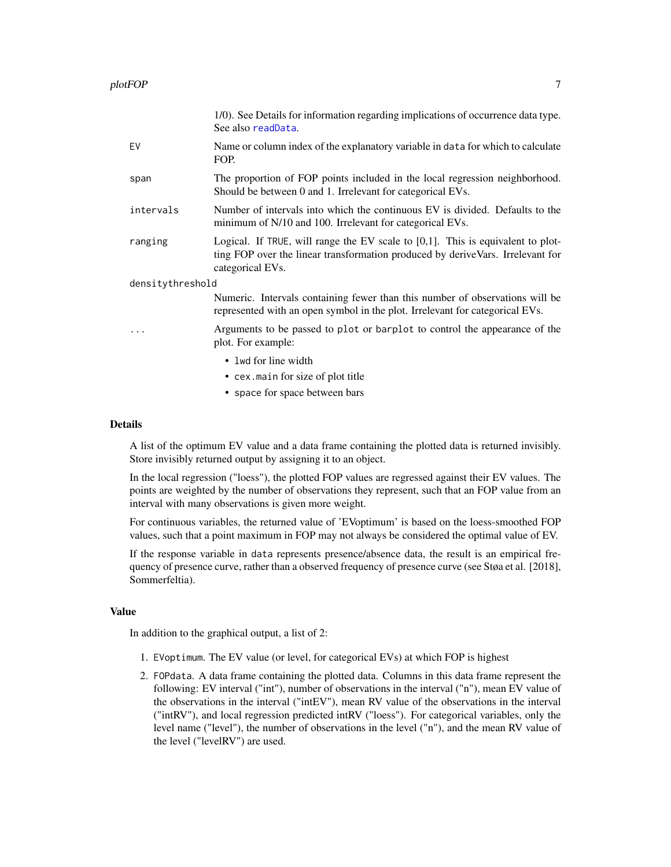<span id="page-6-0"></span>

|                  |           | 1/0). See Details for information regarding implications of occurrence data type.<br>See also readData.                                                                                  |
|------------------|-----------|------------------------------------------------------------------------------------------------------------------------------------------------------------------------------------------|
|                  | EV        | Name or column index of the explanatory variable in data for which to calculate<br>FOP.                                                                                                  |
|                  | span      | The proportion of FOP points included in the local regression neighborhood.<br>Should be between 0 and 1. Irrelevant for categorical EVs.                                                |
|                  | intervals | Number of intervals into which the continuous EV is divided. Defaults to the<br>minimum of N/10 and 100. Irrelevant for categorical EVs.                                                 |
|                  | ranging   | Logical. If TRUE, will range the EV scale to $[0,1]$ . This is equivalent to plot-<br>ting FOP over the linear transformation produced by deriveVars. Irrelevant for<br>categorical EVs. |
| densitythreshold |           |                                                                                                                                                                                          |
|                  |           | Numeric. Intervals containing fewer than this number of observations will be<br>represented with an open symbol in the plot. Irrelevant for categorical EVs.                             |
|                  | .         | Arguments to be passed to plot or barplot to control the appearance of the<br>plot. For example:                                                                                         |
|                  |           | • 1 wd for line width                                                                                                                                                                    |
|                  |           |                                                                                                                                                                                          |

- cex.main for size of plot title
- space for space between bars

#### Details

A list of the optimum EV value and a data frame containing the plotted data is returned invisibly. Store invisibly returned output by assigning it to an object.

In the local regression ("loess"), the plotted FOP values are regressed against their EV values. The points are weighted by the number of observations they represent, such that an FOP value from an interval with many observations is given more weight.

For continuous variables, the returned value of 'EVoptimum' is based on the loess-smoothed FOP values, such that a point maximum in FOP may not always be considered the optimal value of EV.

If the response variable in data represents presence/absence data, the result is an empirical frequency of presence curve, rather than a observed frequency of presence curve (see Støa et al. [2018], Sommerfeltia).

#### Value

In addition to the graphical output, a list of 2:

- 1. EVoptimum. The EV value (or level, for categorical EVs) at which FOP is highest
- 2. FOPdata. A data frame containing the plotted data. Columns in this data frame represent the following: EV interval ("int"), number of observations in the interval ("n"), mean EV value of the observations in the interval ("intEV"), mean RV value of the observations in the interval ("intRV"), and local regression predicted intRV ("loess"). For categorical variables, only the level name ("level"), the number of observations in the level ("n"), and the mean RV value of the level ("levelRV") are used.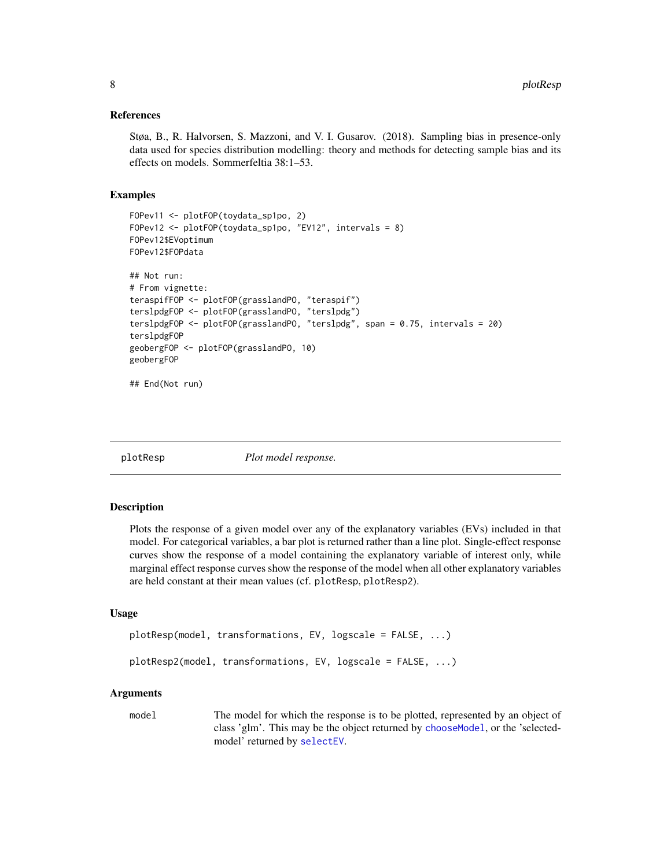#### <span id="page-7-0"></span>References

Støa, B., R. Halvorsen, S. Mazzoni, and V. I. Gusarov. (2018). Sampling bias in presence-only data used for species distribution modelling: theory and methods for detecting sample bias and its effects on models. Sommerfeltia 38:1–53.

#### Examples

```
FOPev11 <- plotFOP(toydata_sp1po, 2)
FOPev12 <- plotFOP(toydata_sp1po, "EV12", intervals = 8)
FOPev12$EVoptimum
FOPev12$FOPdata
## Not run:
# From vignette:
teraspifFOP <- plotFOP(grasslandPO, "teraspif")
terslpdgFOP <- plotFOP(grasslandPO, "terslpdg")
terslpdgFOP <- plotFOP(grasslandPO, "terslpdg", span = 0.75, intervals = 20)
terslpdgFOP
geobergFOP <- plotFOP(grasslandPO, 10)
geobergFOP
## End(Not run)
```
plotResp *Plot model response.*

#### Description

Plots the response of a given model over any of the explanatory variables (EVs) included in that model. For categorical variables, a bar plot is returned rather than a line plot. Single-effect response curves show the response of a model containing the explanatory variable of interest only, while marginal effect response curves show the response of the model when all other explanatory variables are held constant at their mean values (cf. plotResp, plotResp2).

#### Usage

```
plotResp(model, transformations, EV, logscale = FALSE, ...)
plotResp2(model, transformations, EV, logscale = FALSE, ...)
```
#### Arguments

model The model for which the response is to be plotted, represented by an object of class 'glm'. This may be the object returned by [chooseModel](#page-2-1), or the 'selectedmodel' returned by [selectEV](#page-14-1).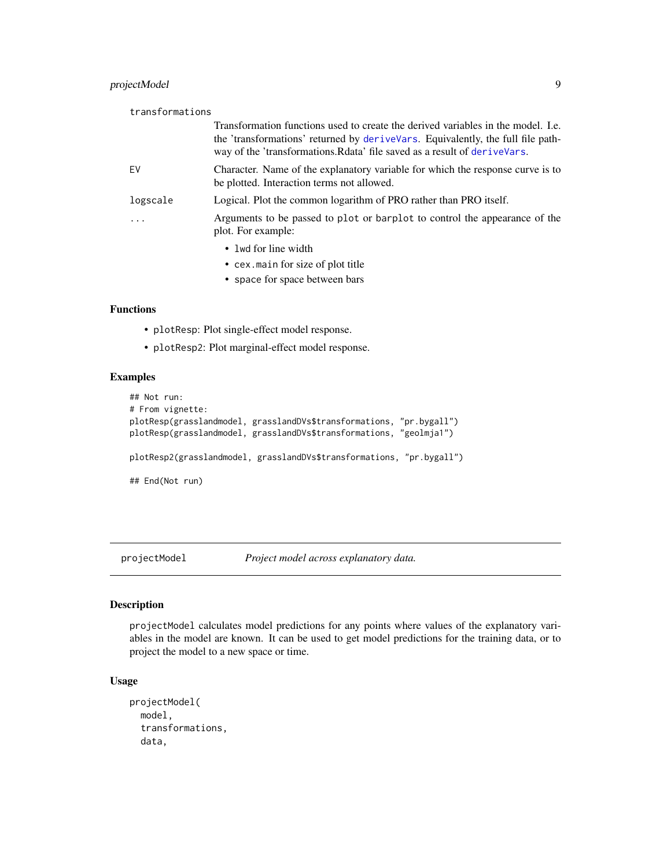#### <span id="page-8-0"></span>projectModel 9

| transformations |                                                                                                                                                                                                                                                    |
|-----------------|----------------------------------------------------------------------------------------------------------------------------------------------------------------------------------------------------------------------------------------------------|
|                 | Transformation functions used to create the derived variables in the model. I.e.<br>the 'transformations' returned by deriveVars. Equivalently, the full file path-<br>way of the 'transformations. Relate' file saved as a result of derive Vars. |
| EV.             | Character. Name of the explanatory variable for which the response curve is to<br>be plotted. Interaction terms not allowed.                                                                                                                       |
| logscale        | Logical. Plot the common logarithm of PRO rather than PRO itself.                                                                                                                                                                                  |
| .               | Arguments to be passed to plot or barplot to control the appearance of the<br>plot. For example:                                                                                                                                                   |
|                 | • 1 wd for line width                                                                                                                                                                                                                              |
|                 | • cex. main for size of plot title                                                                                                                                                                                                                 |
|                 | • space for space between bars                                                                                                                                                                                                                     |

#### Functions

- plotResp: Plot single-effect model response.
- plotResp2: Plot marginal-effect model response.

#### Examples

```
## Not run:
# From vignette:
plotResp(grasslandmodel, grasslandDVs$transformations, "pr.bygall")
plotResp(grasslandmodel, grasslandDVs$transformations, "geolmja1")
plotResp2(grasslandmodel, grasslandDVs$transformations, "pr.bygall")
## End(Not run)
```
projectModel *Project model across explanatory data.*

#### Description

projectModel calculates model predictions for any points where values of the explanatory variables in the model are known. It can be used to get model predictions for the training data, or to project the model to a new space or time.

```
projectModel(
  model,
  transformations,
  data,
```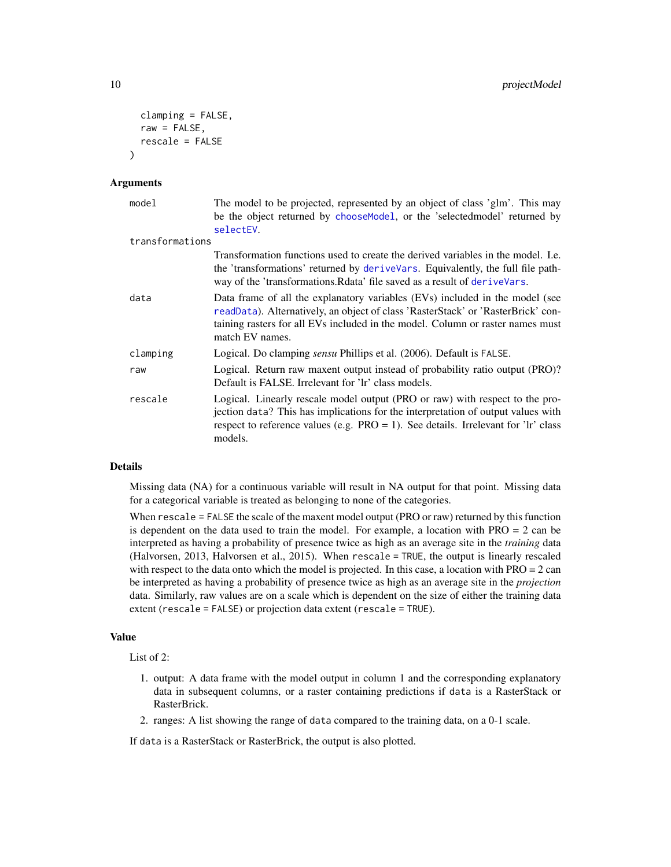```
clamping = FALSE,
  raw = FALSE,
  rescale = FALSE
\lambda
```

| model           | The model to be projected, represented by an object of class 'glm'. This may<br>be the object returned by chooseModel, or the 'selected model' returned by<br>selectEV.                                                                                               |
|-----------------|-----------------------------------------------------------------------------------------------------------------------------------------------------------------------------------------------------------------------------------------------------------------------|
| transformations |                                                                                                                                                                                                                                                                       |
|                 | Transformation functions used to create the derived variables in the model. I.e.<br>the 'transformations' returned by deriveVars. Equivalently, the full file path-<br>way of the 'transformations. Relate' file saved as a result of derive Vars.                    |
| data            | Data frame of all the explanatory variables (EVs) included in the model (see<br>readData). Alternatively, an object of class 'RasterStack' or 'RasterBrick' con-<br>taining rasters for all EVs included in the model. Column or raster names must<br>match EV names. |
| clamping        | Logical. Do clamping <i>sensu</i> Phillips et al. (2006). Default is FALSE.                                                                                                                                                                                           |
| raw             | Logical. Return raw maxent output instead of probability ratio output (PRO)?<br>Default is FALSE. Irrelevant for 'lr' class models.                                                                                                                                   |
| rescale         | Logical. Linearly rescale model output (PRO or raw) with respect to the pro-<br>jection data? This has implications for the interpretation of output values with<br>respect to reference values (e.g. $PRO = 1$ ). See details. Irrelevant for 'lr' class<br>models.  |

#### Details

Missing data (NA) for a continuous variable will result in NA output for that point. Missing data for a categorical variable is treated as belonging to none of the categories.

When rescale = FALSE the scale of the maxent model output (PRO or raw) returned by this function is dependent on the data used to train the model. For example, a location with  $PRO = 2$  can be interpreted as having a probability of presence twice as high as an average site in the *training* data (Halvorsen, 2013, Halvorsen et al., 2015). When rescale = TRUE, the output is linearly rescaled with respect to the data onto which the model is projected. In this case, a location with  $PRO = 2$  can be interpreted as having a probability of presence twice as high as an average site in the *projection* data. Similarly, raw values are on a scale which is dependent on the size of either the training data extent (rescale = FALSE) or projection data extent (rescale = TRUE).

#### Value

List of 2:

- 1. output: A data frame with the model output in column 1 and the corresponding explanatory data in subsequent columns, or a raster containing predictions if data is a RasterStack or RasterBrick.
- 2. ranges: A list showing the range of data compared to the training data, on a 0-1 scale.

If data is a RasterStack or RasterBrick, the output is also plotted.

<span id="page-9-0"></span>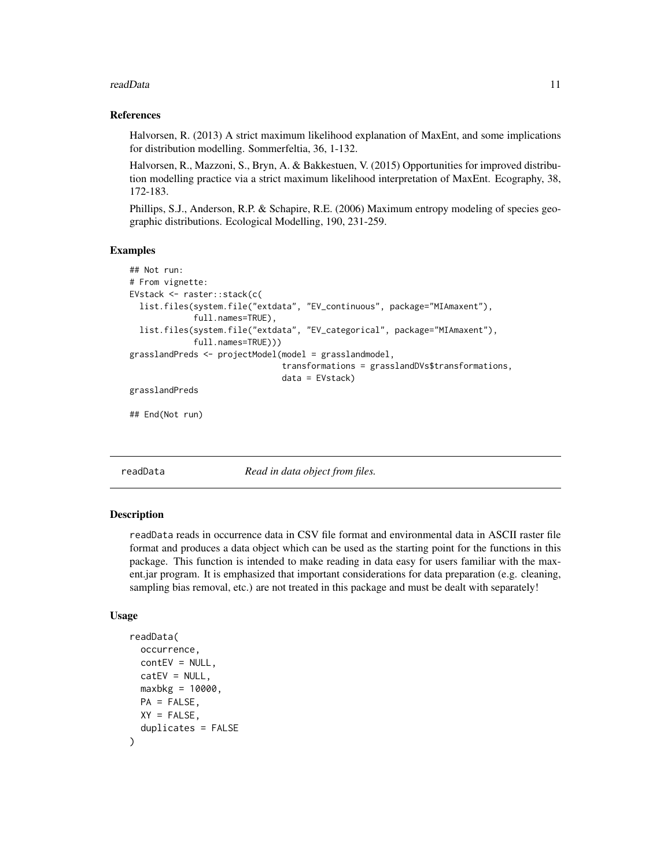#### <span id="page-10-0"></span>readData and the contract of the contract of the contract of the contract of the contract of the contract of the contract of the contract of the contract of the contract of the contract of the contract of the contract of t

#### References

Halvorsen, R. (2013) A strict maximum likelihood explanation of MaxEnt, and some implications for distribution modelling. Sommerfeltia, 36, 1-132.

Halvorsen, R., Mazzoni, S., Bryn, A. & Bakkestuen, V. (2015) Opportunities for improved distribution modelling practice via a strict maximum likelihood interpretation of MaxEnt. Ecography, 38, 172-183.

Phillips, S.J., Anderson, R.P. & Schapire, R.E. (2006) Maximum entropy modeling of species geographic distributions. Ecological Modelling, 190, 231-259.

#### Examples

```
## Not run:
# From vignette:
EVstack <- raster::stack(c(
 list.files(system.file("extdata", "EV_continuous", package="MIAmaxent"),
             full.names=TRUE),
 list.files(system.file("extdata", "EV_categorical", package="MIAmaxent"),
             full.names=TRUE)))
grasslandPreds <- projectModel(model = grasslandmodel,
                               transformations = grasslandDVs$transformations,
                               data = EVstack)
grasslandPreds
```
## End(Not run)

<span id="page-10-1"></span>readData *Read in data object from files.*

#### **Description**

readData reads in occurrence data in CSV file format and environmental data in ASCII raster file format and produces a data object which can be used as the starting point for the functions in this package. This function is intended to make reading in data easy for users familiar with the maxent.jar program. It is emphasized that important considerations for data preparation (e.g. cleaning, sampling bias removal, etc.) are not treated in this package and must be dealt with separately!

```
readData(
  occurrence,
  contEV = NULL,
  catEV = NULL,maxbkg = 10000,
 PA = FALSE,
 XY = FALSE,
  duplicates = FALSE
)
```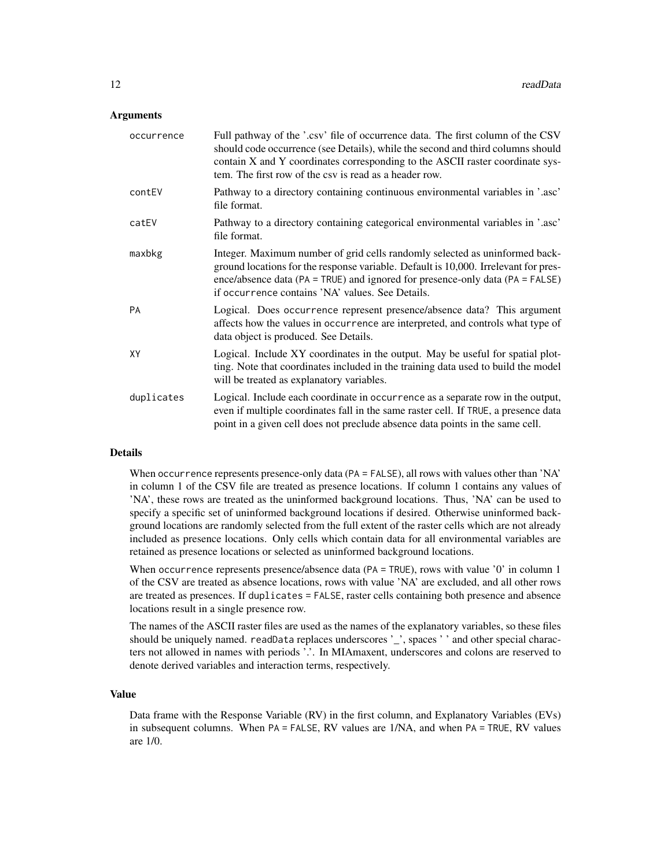| occurrence | Full pathway of the '.csv' file of occurrence data. The first column of the CSV<br>should code occurrence (see Details), while the second and third columns should<br>contain X and Y coordinates corresponding to the ASCII raster coordinate sys-<br>tem. The first row of the csv is read as a header row.   |
|------------|-----------------------------------------------------------------------------------------------------------------------------------------------------------------------------------------------------------------------------------------------------------------------------------------------------------------|
| contEV     | Pathway to a directory containing continuous environmental variables in '.asc'<br>file format.                                                                                                                                                                                                                  |
| catEV      | Pathway to a directory containing categorical environmental variables in '.asc'<br>file format.                                                                                                                                                                                                                 |
| maxbkg     | Integer. Maximum number of grid cells randomly selected as uninformed back-<br>ground locations for the response variable. Default is 10,000. Irrelevant for pres-<br>ence/absence data ( $PA = TRUE$ ) and ignored for presence-only data ( $PA = FALSE$ )<br>if occurrence contains 'NA' values. See Details. |
| <b>PA</b>  | Logical. Does occurrence represent presence/absence data? This argument<br>affects how the values in occurrence are interpreted, and controls what type of<br>data object is produced. See Details.                                                                                                             |
| XY         | Logical. Include XY coordinates in the output. May be useful for spatial plot-<br>ting. Note that coordinates included in the training data used to build the model<br>will be treated as explanatory variables.                                                                                                |
| duplicates | Logical. Include each coordinate in occurrence as a separate row in the output,<br>even if multiple coordinates fall in the same raster cell. If TRUE, a presence data<br>point in a given cell does not preclude absence data points in the same cell.                                                         |
|            |                                                                                                                                                                                                                                                                                                                 |

#### Details

When occurrence represents presence-only data (PA = FALSE), all rows with values other than 'NA' in column 1 of the CSV file are treated as presence locations. If column 1 contains any values of 'NA', these rows are treated as the uninformed background locations. Thus, 'NA' can be used to specify a specific set of uninformed background locations if desired. Otherwise uninformed background locations are randomly selected from the full extent of the raster cells which are not already included as presence locations. Only cells which contain data for all environmental variables are retained as presence locations or selected as uninformed background locations.

When occurrence represents presence/absence data (PA = TRUE), rows with value '0' in column 1 of the CSV are treated as absence locations, rows with value 'NA' are excluded, and all other rows are treated as presences. If duplicates = FALSE, raster cells containing both presence and absence locations result in a single presence row.

The names of the ASCII raster files are used as the names of the explanatory variables, so these files should be uniquely named. readData replaces underscores '\_', spaces ' ' and other special characters not allowed in names with periods '.'. In MIAmaxent, underscores and colons are reserved to denote derived variables and interaction terms, respectively.

#### Value

Data frame with the Response Variable (RV) in the first column, and Explanatory Variables (EVs) in subsequent columns. When PA = FALSE, RV values are 1/NA, and when PA = TRUE, RV values are 1/0.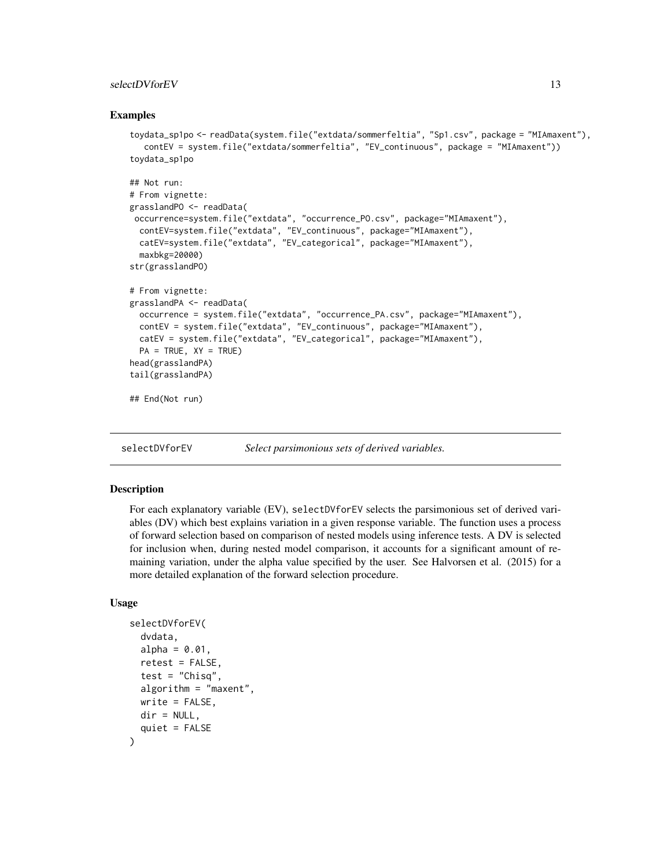#### <span id="page-12-0"></span>selectDVforEV 13

#### Examples

```
toydata_sp1po <- readData(system.file("extdata/sommerfeltia", "Sp1.csv", package = "MIAmaxent"),
  contEV = system.file("extdata/sommerfeltia", "EV_continuous", package = "MIAmaxent"))
toydata_sp1po
## Not run:
# From vignette:
grasslandPO <- readData(
occurrence=system.file("extdata", "occurrence_PO.csv", package="MIAmaxent"),
 contEV=system.file("extdata", "EV_continuous", package="MIAmaxent"),
 catEV=system.file("extdata", "EV_categorical", package="MIAmaxent"),
 maxbkg=20000)
str(grasslandPO)
# From vignette:
grasslandPA <- readData(
 occurrence = system.file("extdata", "occurrence_PA.csv", package="MIAmaxent"),
 contEV = system.file("extdata", "EV_continuous", package="MIAmaxent"),
 catEV = system.file("extdata", "EV_categorical", package="MIAmaxent"),
 PA = TRUE, XY = TRUEhead(grasslandPA)
tail(grasslandPA)
## End(Not run)
```
<span id="page-12-1"></span>selectDVforEV *Select parsimonious sets of derived variables.*

#### **Description**

For each explanatory variable (EV), selectDVforEV selects the parsimonious set of derived variables (DV) which best explains variation in a given response variable. The function uses a process of forward selection based on comparison of nested models using inference tests. A DV is selected for inclusion when, during nested model comparison, it accounts for a significant amount of remaining variation, under the alpha value specified by the user. See Halvorsen et al. (2015) for a more detailed explanation of the forward selection procedure.

```
selectDVforEV(
  dvdata,
  alpha = 0.01,
  retest = FALSE,
  test = "Chisq",
  algorithm = "maxent",
 write = FALSE,
 dir = NULL,quiet = FALSE)
```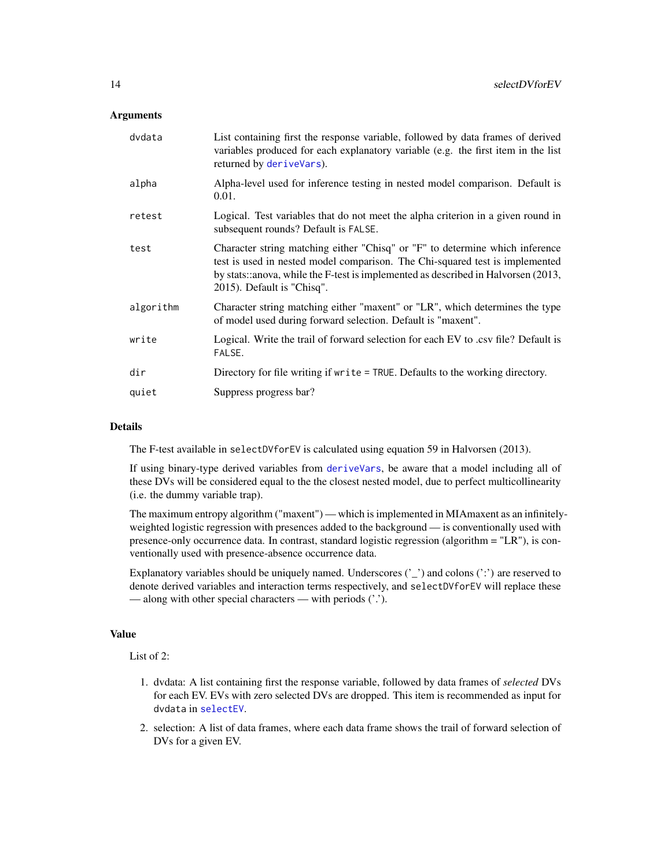<span id="page-13-0"></span>

| dvdata    | List containing first the response variable, followed by data frames of derived<br>variables produced for each explanatory variable (e.g. the first item in the list<br>returned by deriveVars).                                                                                |
|-----------|---------------------------------------------------------------------------------------------------------------------------------------------------------------------------------------------------------------------------------------------------------------------------------|
| alpha     | Alpha-level used for inference testing in nested model comparison. Default is<br>0.01.                                                                                                                                                                                          |
| retest    | Logical. Test variables that do not meet the alpha criterion in a given round in<br>subsequent rounds? Default is FALSE.                                                                                                                                                        |
| test      | Character string matching either "Chisq" or "F" to determine which inference<br>test is used in nested model comparison. The Chi-squared test is implemented<br>by stats::anova, while the F-test is implemented as described in Halvorsen (2013,<br>2015). Default is "Chisq". |
| algorithm | Character string matching either "maxent" or "LR", which determines the type<br>of model used during forward selection. Default is "maxent".                                                                                                                                    |
| write     | Logical. Write the trail of forward selection for each EV to .csv file? Default is<br>FALSE.                                                                                                                                                                                    |
| dir       | Directory for file writing if write = TRUE. Defaults to the working directory.                                                                                                                                                                                                  |
| quiet     | Suppress progress bar?                                                                                                                                                                                                                                                          |

#### Details

The F-test available in selectDVforEV is calculated using equation 59 in Halvorsen (2013).

If using binary-type derived variables from [deriveVars](#page-3-1), be aware that a model including all of these DVs will be considered equal to the the closest nested model, due to perfect multicollinearity (i.e. the dummy variable trap).

The maximum entropy algorithm ("maxent") — which is implemented in MIAmaxent as an infinitelyweighted logistic regression with presences added to the background — is conventionally used with presence-only occurrence data. In contrast, standard logistic regression (algorithm = "LR"), is conventionally used with presence-absence occurrence data.

Explanatory variables should be uniquely named. Underscores  $('')$  and colons  $('')$  are reserved to denote derived variables and interaction terms respectively, and selectDVforEV will replace these — along with other special characters — with periods ('.').

#### Value

List of 2:

- 1. dvdata: A list containing first the response variable, followed by data frames of *selected* DVs for each EV. EVs with zero selected DVs are dropped. This item is recommended as input for dvdata in [selectEV](#page-14-1).
- 2. selection: A list of data frames, where each data frame shows the trail of forward selection of DVs for a given EV.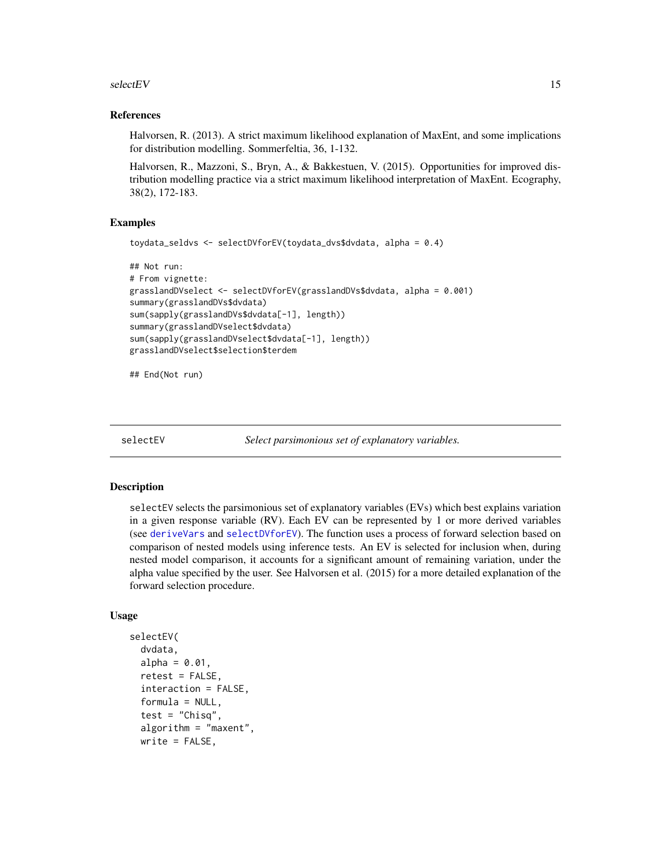<span id="page-14-0"></span> $selectEV$  15

#### References

Halvorsen, R. (2013). A strict maximum likelihood explanation of MaxEnt, and some implications for distribution modelling. Sommerfeltia, 36, 1-132.

Halvorsen, R., Mazzoni, S., Bryn, A., & Bakkestuen, V. (2015). Opportunities for improved distribution modelling practice via a strict maximum likelihood interpretation of MaxEnt. Ecography, 38(2), 172-183.

#### Examples

```
toydata_seldvs <- selectDVforEV(toydata_dvs$dvdata, alpha = 0.4)
```

```
## Not run:
# From vignette:
grasslandDVselect <- selectDVforEV(grasslandDVs$dvdata, alpha = 0.001)
summary(grasslandDVs$dvdata)
sum(sapply(grasslandDVs$dvdata[-1], length))
summary(grasslandDVselect$dvdata)
sum(sapply(grasslandDVselect$dvdata[-1], length))
grasslandDVselect$selection$terdem
```
## End(Not run)

<span id="page-14-1"></span>selectEV *Select parsimonious set of explanatory variables.*

#### Description

selectEV selects the parsimonious set of explanatory variables (EVs) which best explains variation in a given response variable (RV). Each EV can be represented by 1 or more derived variables (see [deriveVars](#page-3-1) and [selectDVforEV](#page-12-1)). The function uses a process of forward selection based on comparison of nested models using inference tests. An EV is selected for inclusion when, during nested model comparison, it accounts for a significant amount of remaining variation, under the alpha value specified by the user. See Halvorsen et al. (2015) for a more detailed explanation of the forward selection procedure.

```
selectEV(
  dvdata,
  alpha = 0.01,
  retest = FALSE,interaction = FALSE,
  formula = NULL,
  test = "Chisq",algorithm = "maxent",
 write = FALSE,
```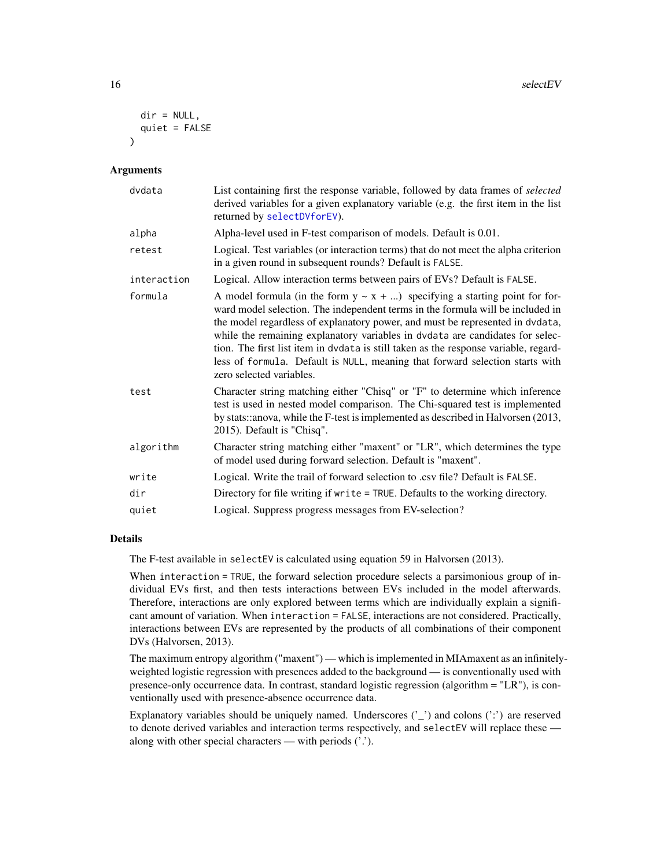```
dir = NULL,quiet = FALSE)
```

| dvdata      | List containing first the response variable, followed by data frames of selected<br>derived variables for a given explanatory variable (e.g. the first item in the list<br>returned by selectDVforEV).                                                                                                                                                                                                                                                                                                                                    |
|-------------|-------------------------------------------------------------------------------------------------------------------------------------------------------------------------------------------------------------------------------------------------------------------------------------------------------------------------------------------------------------------------------------------------------------------------------------------------------------------------------------------------------------------------------------------|
| alpha       | Alpha-level used in F-test comparison of models. Default is 0.01.                                                                                                                                                                                                                                                                                                                                                                                                                                                                         |
| retest      | Logical. Test variables (or interaction terms) that do not meet the alpha criterion<br>in a given round in subsequent rounds? Default is FALSE.                                                                                                                                                                                                                                                                                                                                                                                           |
| interaction | Logical. Allow interaction terms between pairs of EVs? Default is FALSE.                                                                                                                                                                                                                                                                                                                                                                                                                                                                  |
| formula     | A model formula (in the form $y \sim x + $ ) specifying a starting point for for-<br>ward model selection. The independent terms in the formula will be included in<br>the model regardless of explanatory power, and must be represented in dvdata,<br>while the remaining explanatory variables in dvdata are candidates for selec-<br>tion. The first list item in dvdata is still taken as the response variable, regard-<br>less of formula. Default is NULL, meaning that forward selection starts with<br>zero selected variables. |
| test        | Character string matching either "Chisq" or "F" to determine which inference<br>test is used in nested model comparison. The Chi-squared test is implemented<br>by stats::anova, while the F-test is implemented as described in Halvorsen (2013,<br>2015). Default is "Chisq".                                                                                                                                                                                                                                                           |
| algorithm   | Character string matching either "maxent" or "LR", which determines the type<br>of model used during forward selection. Default is "maxent".                                                                                                                                                                                                                                                                                                                                                                                              |
| write       | Logical. Write the trail of forward selection to .csv file? Default is FALSE.                                                                                                                                                                                                                                                                                                                                                                                                                                                             |
| dir         | Directory for file writing if write = TRUE. Defaults to the working directory.                                                                                                                                                                                                                                                                                                                                                                                                                                                            |
| quiet       | Logical. Suppress progress messages from EV-selection?                                                                                                                                                                                                                                                                                                                                                                                                                                                                                    |

#### Details

The F-test available in selectEV is calculated using equation 59 in Halvorsen (2013).

When interaction = TRUE, the forward selection procedure selects a parsimonious group of individual EVs first, and then tests interactions between EVs included in the model afterwards. Therefore, interactions are only explored between terms which are individually explain a significant amount of variation. When interaction = FALSE, interactions are not considered. Practically, interactions between EVs are represented by the products of all combinations of their component DVs (Halvorsen, 2013).

The maximum entropy algorithm ("maxent") — which is implemented in MIAmaxent as an infinitelyweighted logistic regression with presences added to the background — is conventionally used with presence-only occurrence data. In contrast, standard logistic regression (algorithm = "LR"), is conventionally used with presence-absence occurrence data.

Explanatory variables should be uniquely named. Underscores  $\binom{r}{k}$  and colons  $\binom{r}{k}$  are reserved to denote derived variables and interaction terms respectively, and selectEV will replace these along with other special characters — with periods ('.').

<span id="page-15-0"></span>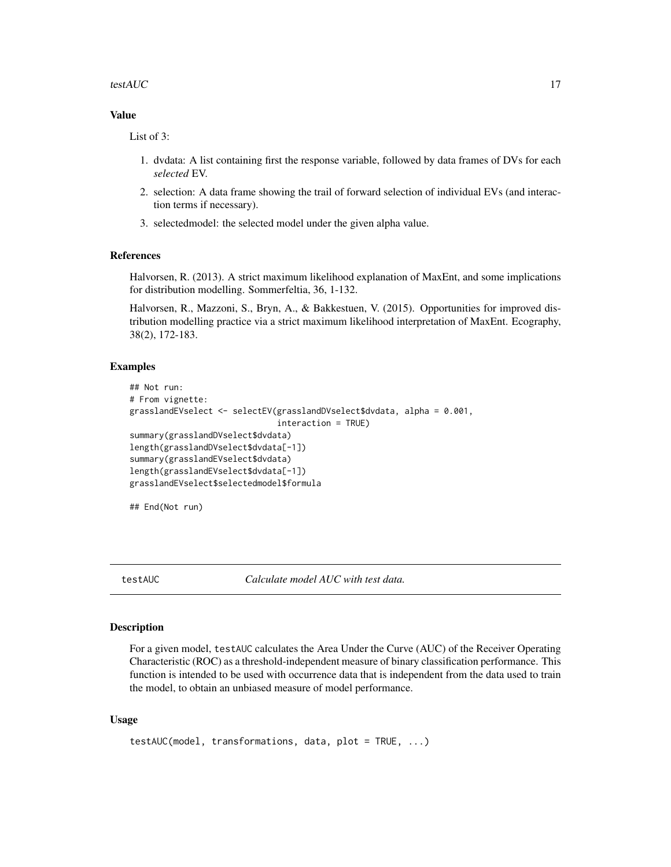#### <span id="page-16-0"></span>testAUC  $17$

#### Value

List of 3:

- 1. dvdata: A list containing first the response variable, followed by data frames of DVs for each *selected* EV.
- 2. selection: A data frame showing the trail of forward selection of individual EVs (and interaction terms if necessary).
- 3. selectedmodel: the selected model under the given alpha value.

#### References

Halvorsen, R. (2013). A strict maximum likelihood explanation of MaxEnt, and some implications for distribution modelling. Sommerfeltia, 36, 1-132.

Halvorsen, R., Mazzoni, S., Bryn, A., & Bakkestuen, V. (2015). Opportunities for improved distribution modelling practice via a strict maximum likelihood interpretation of MaxEnt. Ecography, 38(2), 172-183.

#### Examples

```
## Not run:
# From vignette:
grasslandEVselect <- selectEV(grasslandDVselect$dvdata, alpha = 0.001,
                              interaction = TRUE)
summary(grasslandDVselect$dvdata)
length(grasslandDVselect$dvdata[-1])
summary(grasslandEVselect$dvdata)
length(grasslandEVselect$dvdata[-1])
grasslandEVselect$selectedmodel$formula
```
## End(Not run)

testAUC *Calculate model AUC with test data.*

#### Description

For a given model, testAUC calculates the Area Under the Curve (AUC) of the Receiver Operating Characteristic (ROC) as a threshold-independent measure of binary classification performance. This function is intended to be used with occurrence data that is independent from the data used to train the model, to obtain an unbiased measure of model performance.

```
testAUC(model, transformations, data, plot = TRUE, ...)
```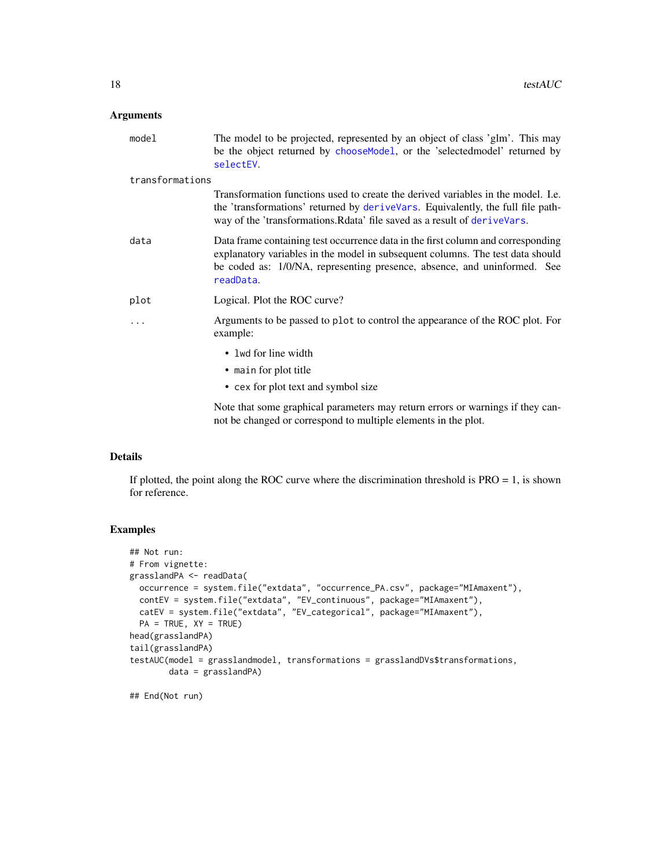<span id="page-17-0"></span>

| model           | The model to be projected, represented by an object of class 'glm'. This may<br>be the object returned by chooseModel, or the 'selectedmodel' returned by<br>selectEV.                                                                                      |
|-----------------|-------------------------------------------------------------------------------------------------------------------------------------------------------------------------------------------------------------------------------------------------------------|
| transformations |                                                                                                                                                                                                                                                             |
|                 | Transformation functions used to create the derived variables in the model. I.e.<br>the 'transformations' returned by derive Vars. Equivalently, the full file path-<br>way of the 'transformations. Rdata' file saved as a result of deriveVars.           |
| data            | Data frame containing test occurrence data in the first column and corresponding<br>explanatory variables in the model in subsequent columns. The test data should<br>be coded as: 1/0/NA, representing presence, absence, and uninformed. See<br>readData. |
| plot            | Logical. Plot the ROC curve?                                                                                                                                                                                                                                |
|                 | Arguments to be passed to plot to control the appearance of the ROC plot. For<br>example:                                                                                                                                                                   |
|                 | • lwd for line width<br>• main for plot title                                                                                                                                                                                                               |
|                 | • cex for plot text and symbol size                                                                                                                                                                                                                         |
|                 | Note that some graphical parameters may return errors or warnings if they can-<br>not be changed or correspond to multiple elements in the plot.                                                                                                            |

#### Details

If plotted, the point along the ROC curve where the discrimination threshold is  $PRO = 1$ , is shown for reference.

#### Examples

```
## Not run:
# From vignette:
grasslandPA <- readData(
  occurrence = system.file("extdata", "occurrence_PA.csv", package="MIAmaxent"),
  contEV = system.file("extdata", "EV_continuous", package="MIAmaxent"),
  catEV = system.file("extdata", "EV_categorical", package="MIAmaxent"),
  PA = TRUE, XY = TRUEhead(grasslandPA)
tail(grasslandPA)
testAUC(model = grasslandmodel, transformations = grasslandDVs$transformations,
       data = grasslandPA)
```
## End(Not run)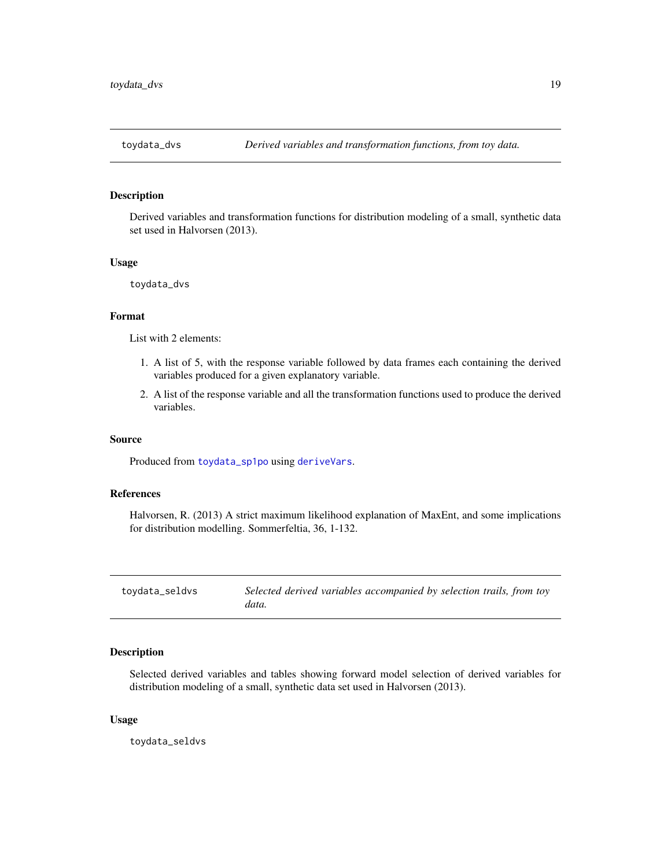<span id="page-18-1"></span><span id="page-18-0"></span>

#### Description

Derived variables and transformation functions for distribution modeling of a small, synthetic data set used in Halvorsen (2013).

#### Usage

```
toydata_dvs
```
#### Format

List with 2 elements:

- 1. A list of 5, with the response variable followed by data frames each containing the derived variables produced for a given explanatory variable.
- 2. A list of the response variable and all the transformation functions used to produce the derived variables.

#### Source

Produced from [toydata\\_sp1po](#page-20-1) using [deriveVars](#page-3-1).

#### References

Halvorsen, R. (2013) A strict maximum likelihood explanation of MaxEnt, and some implications for distribution modelling. Sommerfeltia, 36, 1-132.

<span id="page-18-2"></span>

| toydata_seldvs | Selected derived variables accompanied by selection trails, from toy |
|----------------|----------------------------------------------------------------------|
|                | data.                                                                |

#### Description

Selected derived variables and tables showing forward model selection of derived variables for distribution modeling of a small, synthetic data set used in Halvorsen (2013).

#### Usage

toydata\_seldvs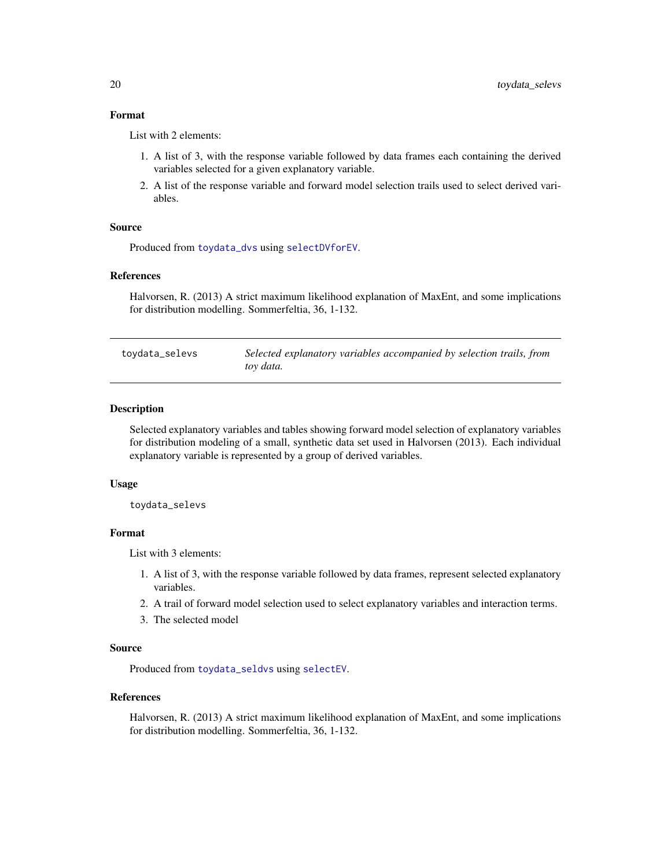#### <span id="page-19-0"></span>Format

List with 2 elements:

- 1. A list of 3, with the response variable followed by data frames each containing the derived variables selected for a given explanatory variable.
- 2. A list of the response variable and forward model selection trails used to select derived variables.

#### Source

Produced from [toydata\\_dvs](#page-18-1) using [selectDVforEV](#page-12-1).

#### References

Halvorsen, R. (2013) A strict maximum likelihood explanation of MaxEnt, and some implications for distribution modelling. Sommerfeltia, 36, 1-132.

| toydata_selevs | Selected explanatory variables accompanied by selection trails, from |
|----------------|----------------------------------------------------------------------|
|                | toy data.                                                            |

#### Description

Selected explanatory variables and tables showing forward model selection of explanatory variables for distribution modeling of a small, synthetic data set used in Halvorsen (2013). Each individual explanatory variable is represented by a group of derived variables.

#### Usage

toydata\_selevs

#### Format

List with 3 elements:

- 1. A list of 3, with the response variable followed by data frames, represent selected explanatory variables.
- 2. A trail of forward model selection used to select explanatory variables and interaction terms.
- 3. The selected model

#### Source

Produced from [toydata\\_seldvs](#page-18-2) using [selectEV](#page-14-1).

#### References

Halvorsen, R. (2013) A strict maximum likelihood explanation of MaxEnt, and some implications for distribution modelling. Sommerfeltia, 36, 1-132.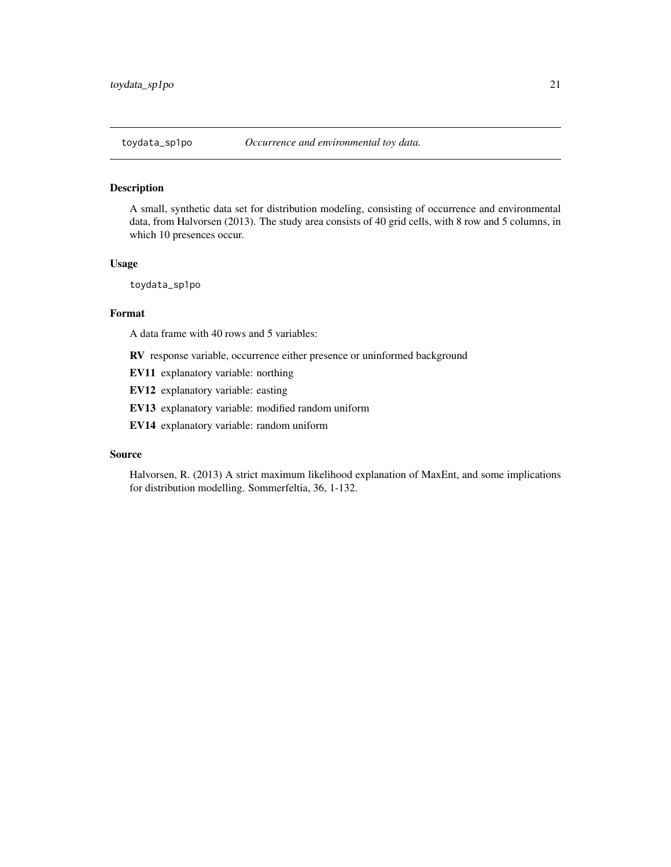#### <span id="page-20-1"></span><span id="page-20-0"></span>Description

A small, synthetic data set for distribution modeling, consisting of occurrence and environmental data, from Halvorsen (2013). The study area consists of 40 grid cells, with 8 row and 5 columns, in which 10 presences occur.

#### Usage

toydata\_sp1po

#### Format

A data frame with 40 rows and 5 variables:

RV response variable, occurrence either presence or uninformed background

EV11 explanatory variable: northing

EV12 explanatory variable: easting

EV13 explanatory variable: modified random uniform

EV14 explanatory variable: random uniform

#### Source

Halvorsen, R. (2013) A strict maximum likelihood explanation of MaxEnt, and some implications for distribution modelling. Sommerfeltia, 36, 1-132.